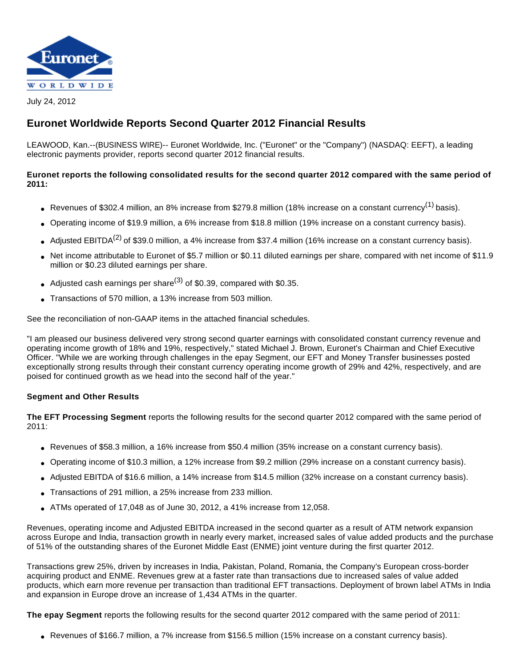

July 24, 2012

# **Euronet Worldwide Reports Second Quarter 2012 Financial Results**

LEAWOOD, Kan.--(BUSINESS WIRE)-- Euronet Worldwide, Inc. ("Euronet" or the "Company") (NASDAQ: EEFT), a leading electronic payments provider, reports second quarter 2012 financial results.

#### **Euronet reports the following consolidated results for the second quarter 2012 compared with the same period of 2011:**

- Revenues of \$302.4 million, an 8% increase from \$279.8 million (18% increase on a constant currency<sup>(1)</sup> basis).
- Operating income of \$19.9 million, a 6% increase from \$18.8 million (19% increase on a constant currency basis).
- Adjusted EBITDA<sup>(2)</sup> of \$39.0 million, a 4% increase from \$37.4 million (16% increase on a constant currency basis).
- Net income attributable to Euronet of \$5.7 million or \$0.11 diluted earnings per share, compared with net income of \$11.9 million or \$0.23 diluted earnings per share.
- Adjusted cash earnings per share<sup>(3)</sup> of \$0.39, compared with \$0.35.
- Transactions of 570 million, a 13% increase from 503 million.

See the reconciliation of non-GAAP items in the attached financial schedules.

"I am pleased our business delivered very strong second quarter earnings with consolidated constant currency revenue and operating income growth of 18% and 19%, respectively," stated Michael J. Brown, Euronet's Chairman and Chief Executive Officer. "While we are working through challenges in the epay Segment, our EFT and Money Transfer businesses posted exceptionally strong results through their constant currency operating income growth of 29% and 42%, respectively, and are poised for continued growth as we head into the second half of the year."

#### **Segment and Other Results**

**The EFT Processing Segment** reports the following results for the second quarter 2012 compared with the same period of 2011:

- Revenues of \$58.3 million, a 16% increase from \$50.4 million (35% increase on a constant currency basis).
- Operating income of \$10.3 million, a 12% increase from \$9.2 million (29% increase on a constant currency basis).
- Adjusted EBITDA of \$16.6 million, a 14% increase from \$14.5 million (32% increase on a constant currency basis).
- Transactions of 291 million, a 25% increase from 233 million.
- $\bullet$  ATMs operated of 17,048 as of June 30, 2012, a 41% increase from 12,058.

Revenues, operating income and Adjusted EBITDA increased in the second quarter as a result of ATM network expansion across Europe and India, transaction growth in nearly every market, increased sales of value added products and the purchase of 51% of the outstanding shares of the Euronet Middle East (ENME) joint venture during the first quarter 2012.

Transactions grew 25%, driven by increases in India, Pakistan, Poland, Romania, the Company's European cross-border acquiring product and ENME. Revenues grew at a faster rate than transactions due to increased sales of value added products, which earn more revenue per transaction than traditional EFT transactions. Deployment of brown label ATMs in India and expansion in Europe drove an increase of 1,434 ATMs in the quarter.

**The epay Segment** reports the following results for the second quarter 2012 compared with the same period of 2011:

• Revenues of \$166.7 million, a 7% increase from \$156.5 million (15% increase on a constant currency basis).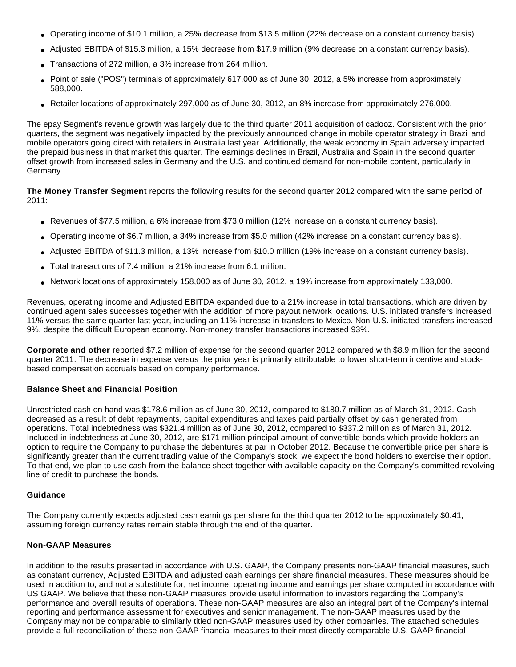- Operating income of \$10.1 million, a 25% decrease from \$13.5 million (22% decrease on a constant currency basis).
- Adjusted EBITDA of \$15.3 million, a 15% decrease from \$17.9 million (9% decrease on a constant currency basis).
- Transactions of 272 million, a 3% increase from 264 million.
- Point of sale ("POS") terminals of approximately 617,000 as of June 30, 2012, a 5% increase from approximately 588,000.
- Retailer locations of approximately 297,000 as of June 30, 2012, an 8% increase from approximately 276,000.

The epay Segment's revenue growth was largely due to the third quarter 2011 acquisition of cadooz. Consistent with the prior quarters, the segment was negatively impacted by the previously announced change in mobile operator strategy in Brazil and mobile operators going direct with retailers in Australia last year. Additionally, the weak economy in Spain adversely impacted the prepaid business in that market this quarter. The earnings declines in Brazil, Australia and Spain in the second quarter offset growth from increased sales in Germany and the U.S. and continued demand for non-mobile content, particularly in Germany.

**The Money Transfer Segment** reports the following results for the second quarter 2012 compared with the same period of 2011:

- Revenues of \$77.5 million, a 6% increase from \$73.0 million (12% increase on a constant currency basis).
- Operating income of \$6.7 million, a 34% increase from \$5.0 million (42% increase on a constant currency basis).
- Adjusted EBITDA of \$11.3 million, a 13% increase from \$10.0 million (19% increase on a constant currency basis).
- Total transactions of 7.4 million, a 21% increase from 6.1 million.
- Network locations of approximately 158,000 as of June 30, 2012, a 19% increase from approximately 133,000.

Revenues, operating income and Adjusted EBITDA expanded due to a 21% increase in total transactions, which are driven by continued agent sales successes together with the addition of more payout network locations. U.S. initiated transfers increased 11% versus the same quarter last year, including an 11% increase in transfers to Mexico. Non-U.S. initiated transfers increased 9%, despite the difficult European economy. Non-money transfer transactions increased 93%.

**Corporate and other** reported \$7.2 million of expense for the second quarter 2012 compared with \$8.9 million for the second quarter 2011. The decrease in expense versus the prior year is primarily attributable to lower short-term incentive and stockbased compensation accruals based on company performance.

#### **Balance Sheet and Financial Position**

Unrestricted cash on hand was \$178.6 million as of June 30, 2012, compared to \$180.7 million as of March 31, 2012. Cash decreased as a result of debt repayments, capital expenditures and taxes paid partially offset by cash generated from operations. Total indebtedness was \$321.4 million as of June 30, 2012, compared to \$337.2 million as of March 31, 2012. Included in indebtedness at June 30, 2012, are \$171 million principal amount of convertible bonds which provide holders an option to require the Company to purchase the debentures at par in October 2012. Because the convertible price per share is significantly greater than the current trading value of the Company's stock, we expect the bond holders to exercise their option. To that end, we plan to use cash from the balance sheet together with available capacity on the Company's committed revolving line of credit to purchase the bonds.

#### **Guidance**

The Company currently expects adjusted cash earnings per share for the third quarter 2012 to be approximately \$0.41, assuming foreign currency rates remain stable through the end of the quarter.

#### **Non-GAAP Measures**

In addition to the results presented in accordance with U.S. GAAP, the Company presents non-GAAP financial measures, such as constant currency, Adjusted EBITDA and adjusted cash earnings per share financial measures. These measures should be used in addition to, and not a substitute for, net income, operating income and earnings per share computed in accordance with US GAAP. We believe that these non-GAAP measures provide useful information to investors regarding the Company's performance and overall results of operations. These non-GAAP measures are also an integral part of the Company's internal reporting and performance assessment for executives and senior management. The non-GAAP measures used by the Company may not be comparable to similarly titled non-GAAP measures used by other companies. The attached schedules provide a full reconciliation of these non-GAAP financial measures to their most directly comparable U.S. GAAP financial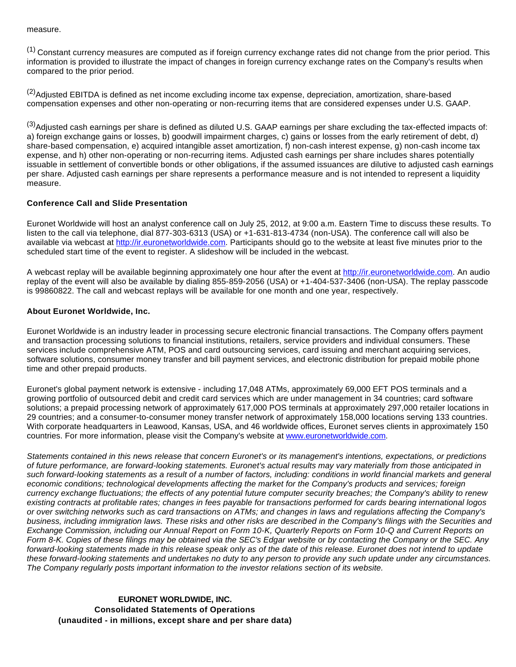measure.

(1) Constant currency measures are computed as if foreign currency exchange rates did not change from the prior period. This information is provided to illustrate the impact of changes in foreign currency exchange rates on the Company's results when compared to the prior period.

 $(2)$ Adjusted EBITDA is defined as net income excluding income tax expense, depreciation, amortization, share-based compensation expenses and other non-operating or non-recurring items that are considered expenses under U.S. GAAP.

(3)Adjusted cash earnings per share is defined as diluted U.S. GAAP earnings per share excluding the tax-effected impacts of: a) foreign exchange gains or losses, b) goodwill impairment charges, c) gains or losses from the early retirement of debt, d) share-based compensation, e) acquired intangible asset amortization, f) non-cash interest expense, g) non-cash income tax expense, and h) other non-operating or non-recurring items. Adjusted cash earnings per share includes shares potentially issuable in settlement of convertible bonds or other obligations, if the assumed issuances are dilutive to adjusted cash earnings per share. Adjusted cash earnings per share represents a performance measure and is not intended to represent a liquidity measure.

#### **Conference Call and Slide Presentation**

Euronet Worldwide will host an analyst conference call on July 25, 2012, at 9:00 a.m. Eastern Time to discuss these results. To listen to the call via telephone, dial 877-303-6313 (USA) or +1-631-813-4734 (non-USA). The conference call will also be available via webcast at [http://ir.euronetworldwide.com.](http://cts.businesswire.com/ct/CT?id=smartlink&url=http%3A%2F%2Fir.euronetworldwide.com&esheet=50353002&lan=en-US&anchor=http%3A%2F%2Fir.euronetworldwide.com&index=1&md5=920b210cc2b4f0d777afeb50b61e5400) Participants should go to the website at least five minutes prior to the scheduled start time of the event to register. A slideshow will be included in the webcast.

A webcast replay will be available beginning approximately one hour after the event at [http://ir.euronetworldwide.com](http://cts.businesswire.com/ct/CT?id=smartlink&url=http%3A%2F%2Fir.euronetworldwide.com&esheet=50353002&lan=en-US&anchor=http%3A%2F%2Fir.euronetworldwide.com&index=2&md5=6c16a11a2355d6d7a821788f7d30cae0). An audio replay of the event will also be available by dialing 855-859-2056 (USA) or +1-404-537-3406 (non-USA). The replay passcode is 99860822. The call and webcast replays will be available for one month and one year, respectively.

#### **About Euronet Worldwide, Inc.**

Euronet Worldwide is an industry leader in processing secure electronic financial transactions. The Company offers payment and transaction processing solutions to financial institutions, retailers, service providers and individual consumers. These services include comprehensive ATM, POS and card outsourcing services, card issuing and merchant acquiring services, software solutions, consumer money transfer and bill payment services, and electronic distribution for prepaid mobile phone time and other prepaid products.

Euronet's global payment network is extensive - including 17,048 ATMs, approximately 69,000 EFT POS terminals and a growing portfolio of outsourced debit and credit card services which are under management in 34 countries; card software solutions; a prepaid processing network of approximately 617,000 POS terminals at approximately 297,000 retailer locations in 29 countries; and a consumer-to-consumer money transfer network of approximately 158,000 locations serving 133 countries. With corporate headquarters in Leawood, Kansas, USA, and 46 worldwide offices, Euronet serves clients in approximately 150 countries. For more information, please visit the Company's website at [www.euronetworldwide.com.](http://cts.businesswire.com/ct/CT?id=smartlink&url=http%3A%2F%2Fwww.euronetworldwide.com&esheet=50353002&lan=en-US&anchor=www.euronetworldwide.com&index=3&md5=cc4f57d944848b41f962ee1c6789fd01)

Statements contained in this news release that concern Euronet's or its management's intentions, expectations, or predictions of future performance, are forward-looking statements. Euronet's actual results may vary materially from those anticipated in such forward-looking statements as a result of a number of factors, including: conditions in world financial markets and general economic conditions; technological developments affecting the market for the Company's products and services; foreign currency exchange fluctuations; the effects of any potential future computer security breaches; the Company's ability to renew existing contracts at profitable rates; changes in fees payable for transactions performed for cards bearing international logos or over switching networks such as card transactions on ATMs; and changes in laws and regulations affecting the Company's business, including immigration laws. These risks and other risks are described in the Company's filings with the Securities and Exchange Commission, including our Annual Report on Form 10-K, Quarterly Reports on Form 10-Q and Current Reports on Form 8-K. Copies of these filings may be obtained via the SEC's Edgar website or by contacting the Company or the SEC. Any forward-looking statements made in this release speak only as of the date of this release. Euronet does not intend to update these forward-looking statements and undertakes no duty to any person to provide any such update under any circumstances. The Company regularly posts important information to the investor relations section of its website.

## **EURONET WORLDWIDE, INC. Consolidated Statements of Operations (unaudited - in millions, except share and per share data)**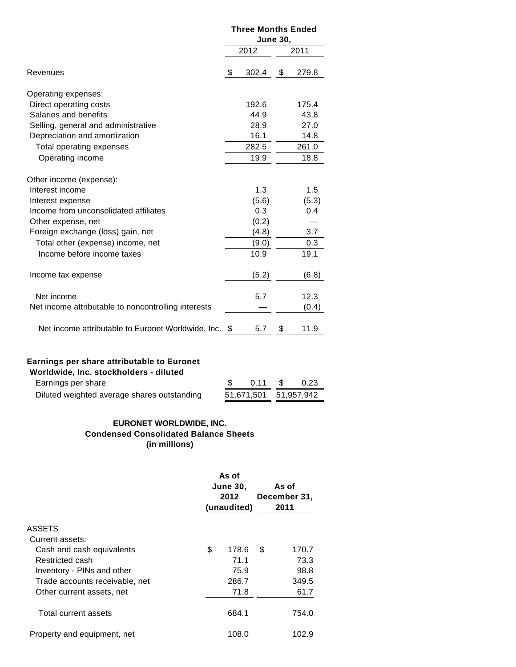|                                                       | <b>Three Months Ended</b> |       |    |       |  |  |
|-------------------------------------------------------|---------------------------|-------|----|-------|--|--|
|                                                       | <b>June 30,</b>           |       |    |       |  |  |
|                                                       |                           | 2012  |    | 2011  |  |  |
| Revenues                                              | \$                        | 302.4 | \$ | 279.8 |  |  |
| Operating expenses:                                   |                           |       |    |       |  |  |
| Direct operating costs                                |                           | 192.6 |    | 175.4 |  |  |
| Salaries and benefits                                 |                           | 44.9  |    | 43.8  |  |  |
| Selling, general and administrative                   |                           | 28.9  |    | 27.0  |  |  |
| Depreciation and amortization                         |                           | 16.1  |    | 14.8  |  |  |
| Total operating expenses                              |                           | 282.5 |    | 261.0 |  |  |
| Operating income                                      |                           | 19.9  |    | 18.8  |  |  |
| Other income (expense):                               |                           |       |    |       |  |  |
| Interest income                                       |                           | 1.3   |    | 1.5   |  |  |
| Interest expense                                      |                           | (5.6) |    | (5.3) |  |  |
| Income from unconsolidated affiliates                 |                           | 0.3   |    | 0.4   |  |  |
| Other expense, net                                    |                           | (0.2) |    |       |  |  |
| Foreign exchange (loss) gain, net                     |                           | (4.8) |    | 3.7   |  |  |
| Total other (expense) income, net                     |                           | (9.0) |    | 0.3   |  |  |
| Income before income taxes                            |                           | 10.9  |    | 19.1  |  |  |
| Income tax expense                                    |                           | (5.2) |    | (6.8) |  |  |
| Net income                                            |                           | 5.7   |    | 12.3  |  |  |
| Net income attributable to noncontrolling interests   |                           |       |    | (0.4) |  |  |
| Net income attributable to Euronet Worldwide, Inc. \$ |                           | 5.7   | \$ | 11.9  |  |  |
|                                                       |                           |       |    |       |  |  |

# **Earnings per share attributable to Euronet**

| Worldwide, Inc. stockholders - diluted      |                       |        |      |
|---------------------------------------------|-----------------------|--------|------|
| Earnings per share                          |                       | 0.11 S | 0.23 |
| Diluted weighted average shares outstanding | 51,671,501 51,957,942 |        |      |
|                                             |                       |        |      |

### **EURONET WORLDWIDE, INC. Condensed Consolidated Balance Sheets (in millions)**

|                                | As of<br><b>June 30,</b><br>2012<br>(unaudited) |       | As of<br>December 31,<br>2011 |       |  |
|--------------------------------|-------------------------------------------------|-------|-------------------------------|-------|--|
| <b>ASSETS</b>                  |                                                 |       |                               |       |  |
| Current assets:                |                                                 |       |                               |       |  |
| Cash and cash equivalents      | \$                                              | 178.6 | S                             | 170.7 |  |
| Restricted cash                |                                                 | 71.1  |                               | 73.3  |  |
| Inventory - PINs and other     |                                                 | 75.9  |                               | 98.8  |  |
| Trade accounts receivable, net |                                                 | 286.7 |                               | 349.5 |  |
| Other current assets, net      |                                                 | 71.8  |                               | 61.7  |  |
| Total current assets           |                                                 | 684.1 |                               | 754.0 |  |
| Property and equipment, net    |                                                 | 108.0 |                               | 102.9 |  |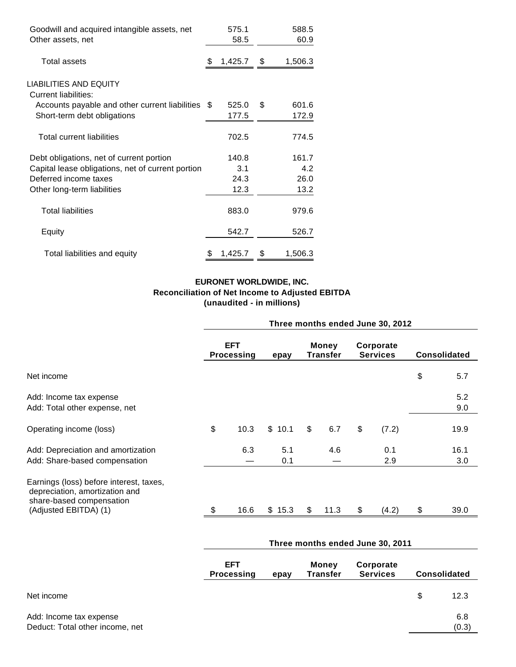| Goodwill and acquired intangible assets, net          |     | 575.1   |      | 588.5   |
|-------------------------------------------------------|-----|---------|------|---------|
| Other assets, net                                     |     | 58.5    |      | 60.9    |
| Total assets                                          | \$. | 1,425.7 | - \$ | 1,506.3 |
| LIABILITIES AND EQUITY<br><b>Current liabilities:</b> |     |         |      |         |
| Accounts payable and other current liabilities \$     |     | 525.0   | \$   | 601.6   |
| Short-term debt obligations                           |     | 177.5   |      | 172.9   |
| Total current liabilities                             |     | 702.5   |      | 774.5   |
| Debt obligations, net of current portion              |     | 140.8   |      | 161.7   |
| Capital lease obligations, net of current portion     |     | 3.1     |      | 4.2     |
| Deferred income taxes                                 |     | 24.3    |      | 26.0    |
| Other long-term liabilities                           |     | 12.3    |      | 13.2    |
| <b>Total liabilities</b>                              |     | 883.0   |      | 979.6   |
| Equity                                                |     | 542.7   |      | 526.7   |
| Total liabilities and equity                          | S   | 1,425.7 | S    | 1,506.3 |

## **EURONET WORLDWIDE, INC. Reconciliation of Net Income to Adjusted EBITDA (unaudited - in millions)**

|                                                                                                                                | Three months ended June 30, 2012 |                                 |            |                   |      |                              |            |                     |             |  |
|--------------------------------------------------------------------------------------------------------------------------------|----------------------------------|---------------------------------|------------|-------------------|------|------------------------------|------------|---------------------|-------------|--|
|                                                                                                                                |                                  | <b>EFT</b><br><b>Processing</b> |            | Money<br>Transfer |      | Corporate<br><b>Services</b> |            | <b>Consolidated</b> |             |  |
| Net income                                                                                                                     |                                  |                                 |            |                   |      |                              |            | \$                  | 5.7         |  |
| Add: Income tax expense<br>Add: Total other expense, net                                                                       |                                  |                                 |            |                   |      |                              |            |                     | 5.2<br>9.0  |  |
| Operating income (loss)                                                                                                        | \$                               | 10.3                            | \$10.1     | $\sqrt[6]{2}$     | 6.7  | \$                           | (7.2)      |                     | 19.9        |  |
| Add: Depreciation and amortization<br>Add: Share-based compensation                                                            |                                  | 6.3                             | 5.1<br>0.1 |                   | 4.6  |                              | 0.1<br>2.9 |                     | 16.1<br>3.0 |  |
| Earnings (loss) before interest, taxes,<br>depreciation, amortization and<br>share-based compensation<br>(Adjusted EBITDA) (1) | \$.                              | 16.6                            | \$15.3     | \$                | 11.3 | S                            | (4.2)      | \$                  | 39.0        |  |

|                                                            | Three months ended June 30, 2011        |  |                                                          |  |   |              |                     |  |  |
|------------------------------------------------------------|-----------------------------------------|--|----------------------------------------------------------|--|---|--------------|---------------------|--|--|
|                                                            | <b>EFT</b><br><b>Processing</b><br>epay |  | Corporate<br>Money<br><b>Transfer</b><br><b>Services</b> |  |   |              | <b>Consolidated</b> |  |  |
| Net income                                                 |                                         |  |                                                          |  | S | 12.3         |                     |  |  |
| Add: Income tax expense<br>Deduct: Total other income, net |                                         |  |                                                          |  |   | 6.8<br>(0.3) |                     |  |  |